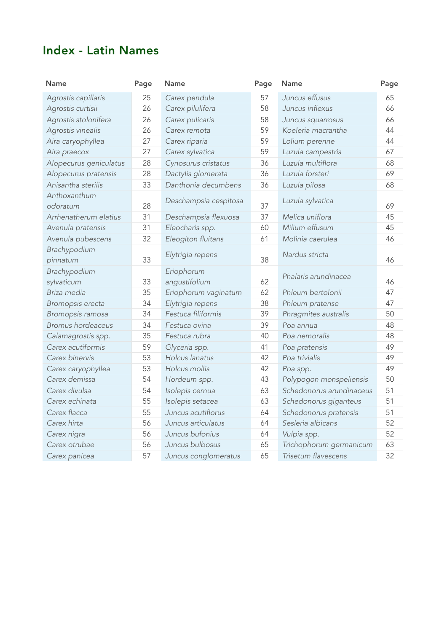## Index - Latin Names

| <b>Name</b>              | Page | <b>Name</b>           | Page | <b>Name</b>              | Page |
|--------------------------|------|-----------------------|------|--------------------------|------|
| Agrostis capillaris      | 25   | Carex pendula         | 57   | Juncus effusus           | 65   |
| Agrostis curtisii        | 26   | Carex pilulifera      | 58   | Juncus inflexus          | 66   |
| Agrostis stolonifera     | 26   | Carex pulicaris       | 58   | Juncus squarrosus        | 66   |
| Agrostis vinealis        | 26   | Carex remota          | 59   | Koeleria macrantha       | 44   |
| Aira caryophyllea        | 27   | Carex riparia         | 59   | Lolium perenne           | 44   |
| Aira praecox             | 27   | Carex sylvatica       | 59   | Luzula campestris        | 67   |
| Alopecurus geniculatus   | 28   | Cynosurus cristatus   | 36   | Luzula multiflora        | 68   |
| Alopecurus pratensis     | 28   | Dactylis glomerata    | 36   | Luzula forsteri          | 69   |
| Anisantha sterilis       | 33   | Danthonia decumbens   | 36   | Luzula pilosa            | 68   |
| Anthoxanthum<br>odoratum | 28   | Deschampsia cespitosa | 37   | Luzula sylvatica         | 69   |
| Arrhenatherum elatius    | 31   | Deschampsia flexuosa  | 37   | Melica uniflora          | 45   |
| Avenula pratensis        | 31   | Eleocharis spp.       | 60   | Milium effusum           | 45   |
| Avenula pubescens        | 32   | Eleogiton fluitans    | 61   | Molinia caerulea         | 46   |
| Brachypodium<br>pinnatum | 33   | Elytrigia repens      | 38   | Nardus stricta           | 46   |
| Brachypodium             |      | Eriophorum            |      | Phalaris arundinacea     |      |
| sylvaticum               | 33   | angustifolium         | 62   |                          | 46   |
| Briza media              | 35   | Eriophorum vaginatum  | 62   | Phleum bertolonii        | 47   |
| Bromopsis erecta         | 34   | Elytrigia repens      | 38   | Phleum pratense          | 47   |
| Bromopsis ramosa         | 34   | Festuca filiformis    | 39   | Phragmites australis     | 50   |
| <b>Bromus hordeaceus</b> | 34   | Festuca ovina         | 39   | Poa annua                | 48   |
| Calamagrostis spp.       | 35   | Festuca rubra         | 40   | Poa nemoralis            | 48   |
| Carex acutiformis        | 59   | Glyceria spp.         | 41   | Poa pratensis            | 49   |
| Carex binervis           | 53   | Holcus lanatus        | 42   | Poa trivialis            | 49   |
| Carex caryophyllea       | 53   | Holcus mollis         | 42   | Poa spp.                 | 49   |
| Carex demissa            | 54   | Hordeum spp.          | 43   | Polypogon monspeliensis  | 50   |
| Carex divulsa            | 54   | Isolepis cernua       | 63   | Schedonorus arundinaceus | 51   |
| Carex echinata           | 55   | Isolepis setacea      | 63   | Schedonorus giganteus    | 51   |
| Carex flacca             | 55   | Juncus acutiflorus    | 64   | Schedonorus pratensis    | 51   |
| Carex hirta              | 56   | Juncus articulatus    | 64   | Sesleria albicans        | 52   |
| Carex nigra              | 56   | Juncus bufonius       | 64   | Vulpia spp.              | 52   |
| Carex otrubae            | 56   | Juncus bulbosus       | 65   | Trichophorum germanicum  | 63   |
| Carex panicea            | 57   | Juncus conglomeratus  | 65   | Trisetum flavescens      | 32   |